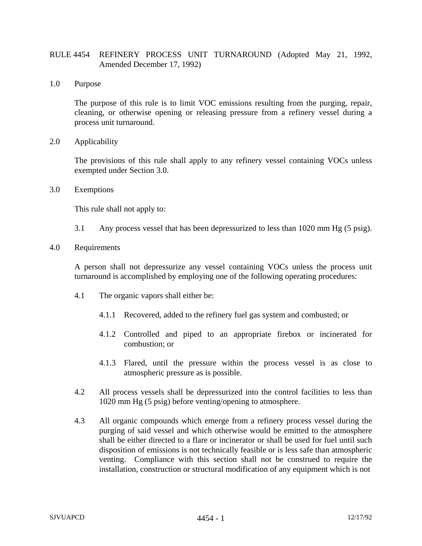## RULE 4454 REFINERY PROCESS UNIT TURNAROUND (Adopted May 21, 1992, Amended December 17, 1992)

1.0 Purpose

The purpose of this rule is to limit VOC emissions resulting from the purging, repair, cleaning, or otherwise opening or releasing pressure from a refinery vessel during a process unit turnaround.

2.0 Applicability

The provisions of this rule shall apply to any refinery vessel containing VOCs unless exempted under Section 3.0.

3.0 Exemptions

This rule shall not apply to:

- 3.1 Any process vessel that has been depressurized to less than 1020 mm Hg (5 psig).
- 4.0 Requirements

A person shall not depressurize any vessel containing VOCs unless the process unit turnaround is accomplished by employing one of the following operating procedures:

- 4.1 The organic vapors shall either be:
	- 4.1.1 Recovered, added to the refinery fuel gas system and combusted; or
	- 4.1.2 Controlled and piped to an appropriate firebox or incinerated for combustion; or
	- 4.1.3 Flared, until the pressure within the process vessel is as close to atmospheric pressure as is possible.
- 4.2 All process vessels shall be depressurized into the control facilities to less than 1020 mm Hg (5 psig) before venting/opening to atmosphere.
- 4.3 All organic compounds which emerge from a refinery process vessel during the purging of said vessel and which otherwise would be emitted to the atmosphere shall be either directed to a flare or incinerator or shall be used for fuel until such disposition of emissions is not technically feasible or is less safe than atmospheric venting. Compliance with this section shall not be construed to require the installation, construction or structural modification of any equipment which is not